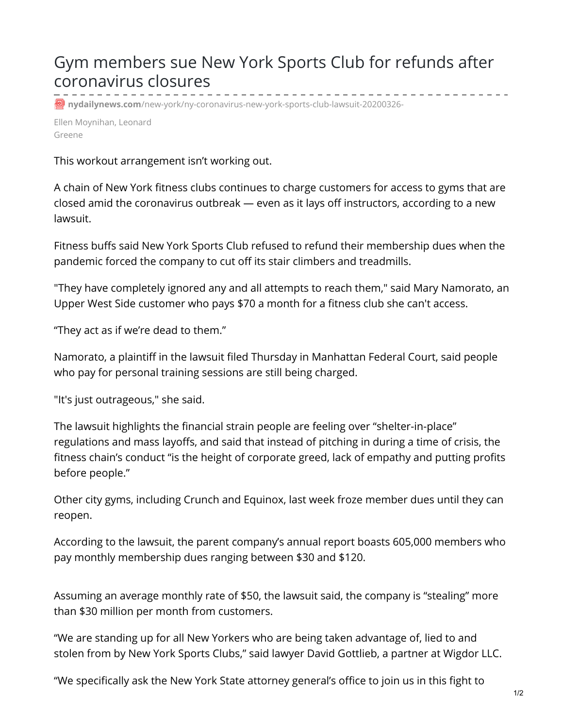## Gym members sue New York Sports Club for refunds after coronavirus closures

*p* nydailynews.com[/new-york/ny-coronavirus-new-york-sports-club-lawsuit-20200326-](https://www.nydailynews.com/new-york/ny-coronavirus-new-york-sports-club-lawsuit-20200326-czp4wa426bbs5pxlxsklh2npnu-story.html)

Ellen Moynihan, Leonard Greene

This workout arrangement isn't working out.

A chain of New York fitness clubs continues to charge customers for access to gyms that are closed amid the coronavirus outbreak — even as it lays off instructors, according to a new lawsuit.

Fitness buffs said New York Sports Club refused to refund their membership dues when the pandemic forced the company to cut off its stair climbers and treadmills.

"They have completely ignored any and all attempts to reach them," said Mary Namorato, an Upper West Side customer who pays \$70 a month for a fitness club she can't access.

"They act as if we're dead to them."

Namorato, a plaintiff in the lawsuit filed Thursday in Manhattan Federal Court, said people who pay for personal training sessions are still being charged.

"It's just outrageous," she said.

The lawsuit highlights the financial strain people are feeling over "shelter-in-place" regulations and mass layoffs, and said that instead of pitching in during a time of crisis, the fitness chain's conduct "is the height of corporate greed, lack of empathy and putting profits before people."

Other city gyms, including Crunch and Equinox, last week froze member dues until they can reopen.

According to the lawsuit, the parent company's annual report boasts 605,000 members who pay monthly membership dues ranging between \$30 and \$120.

Assuming an average monthly rate of \$50, the lawsuit said, the company is "stealing" more than \$30 million per month from customers.

"We are standing up for all New Yorkers who are being taken advantage of, lied to and stolen from by New York Sports Clubs," said lawyer David Gottlieb, a partner at Wigdor LLC.

"We specifically ask the New York State attorney general's office to join us in this fight to